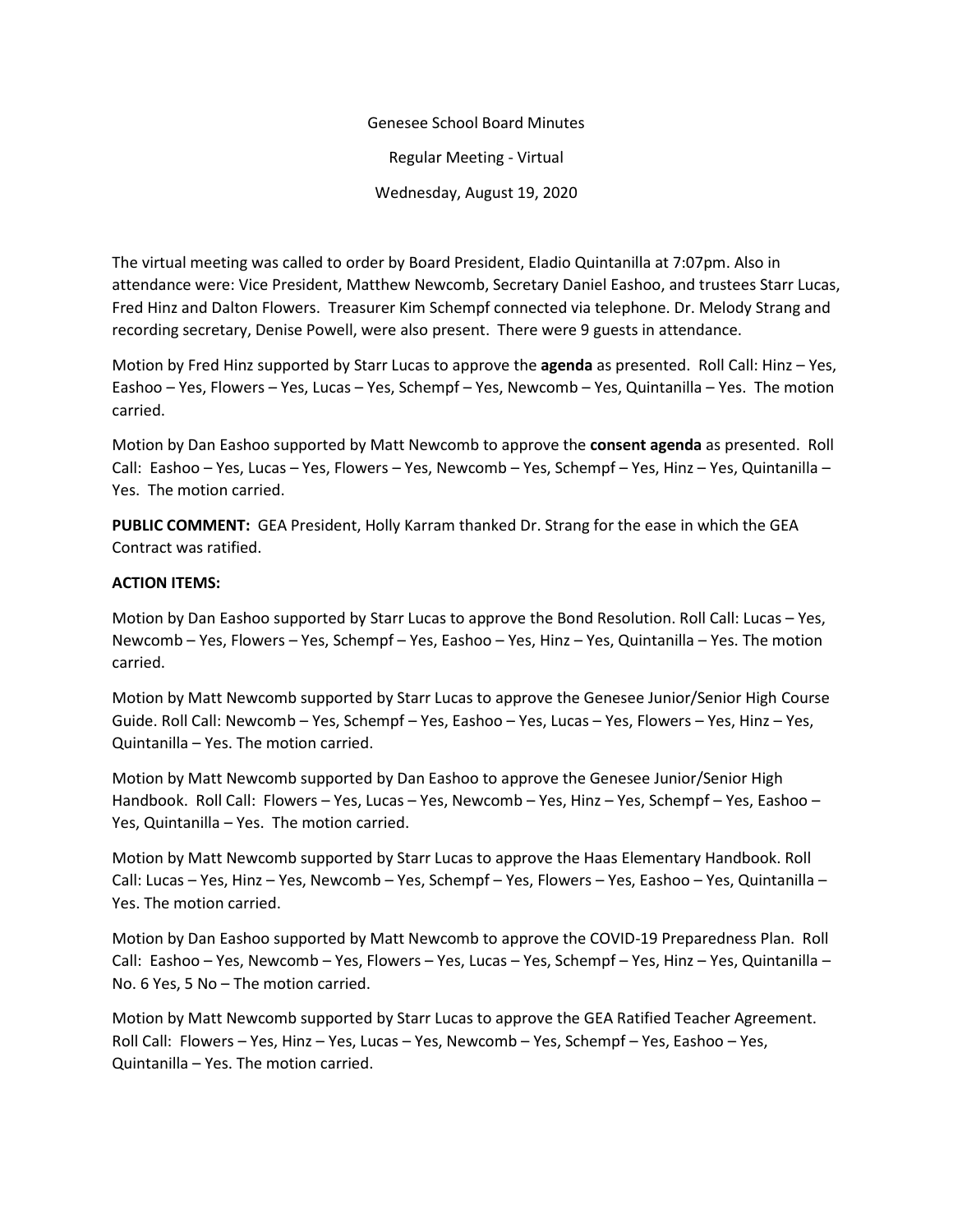## Genesee School Board Minutes Regular Meeting - Virtual Wednesday, August 19, 2020

The virtual meeting was called to order by Board President, Eladio Quintanilla at 7:07pm. Also in attendance were: Vice President, Matthew Newcomb, Secretary Daniel Eashoo, and trustees Starr Lucas, Fred Hinz and Dalton Flowers. Treasurer Kim Schempf connected via telephone. Dr. Melody Strang and recording secretary, Denise Powell, were also present. There were 9 guests in attendance.

Motion by Fred Hinz supported by Starr Lucas to approve the **agenda** as presented. Roll Call: Hinz – Yes, Eashoo – Yes, Flowers – Yes, Lucas – Yes, Schempf – Yes, Newcomb – Yes, Quintanilla – Yes. The motion carried.

Motion by Dan Eashoo supported by Matt Newcomb to approve the **consent agenda** as presented. Roll Call: Eashoo – Yes, Lucas – Yes, Flowers – Yes, Newcomb – Yes, Schempf – Yes, Hinz – Yes, Quintanilla – Yes. The motion carried.

**PUBLIC COMMENT:** GEA President, Holly Karram thanked Dr. Strang for the ease in which the GEA Contract was ratified.

## **ACTION ITEMS:**

Motion by Dan Eashoo supported by Starr Lucas to approve the Bond Resolution. Roll Call: Lucas – Yes, Newcomb – Yes, Flowers – Yes, Schempf – Yes, Eashoo – Yes, Hinz – Yes, Quintanilla – Yes. The motion carried.

Motion by Matt Newcomb supported by Starr Lucas to approve the Genesee Junior/Senior High Course Guide. Roll Call: Newcomb – Yes, Schempf – Yes, Eashoo – Yes, Lucas – Yes, Flowers – Yes, Hinz – Yes, Quintanilla – Yes. The motion carried.

Motion by Matt Newcomb supported by Dan Eashoo to approve the Genesee Junior/Senior High Handbook. Roll Call: Flowers – Yes, Lucas – Yes, Newcomb – Yes, Hinz – Yes, Schempf – Yes, Eashoo – Yes, Quintanilla – Yes. The motion carried.

Motion by Matt Newcomb supported by Starr Lucas to approve the Haas Elementary Handbook. Roll Call: Lucas – Yes, Hinz – Yes, Newcomb – Yes, Schempf – Yes, Flowers – Yes, Eashoo – Yes, Quintanilla – Yes. The motion carried.

Motion by Dan Eashoo supported by Matt Newcomb to approve the COVID-19 Preparedness Plan. Roll Call: Eashoo – Yes, Newcomb – Yes, Flowers – Yes, Lucas – Yes, Schempf – Yes, Hinz – Yes, Quintanilla – No. 6 Yes, 5 No – The motion carried.

Motion by Matt Newcomb supported by Starr Lucas to approve the GEA Ratified Teacher Agreement. Roll Call: Flowers – Yes, Hinz – Yes, Lucas – Yes, Newcomb – Yes, Schempf – Yes, Eashoo – Yes, Quintanilla – Yes. The motion carried.